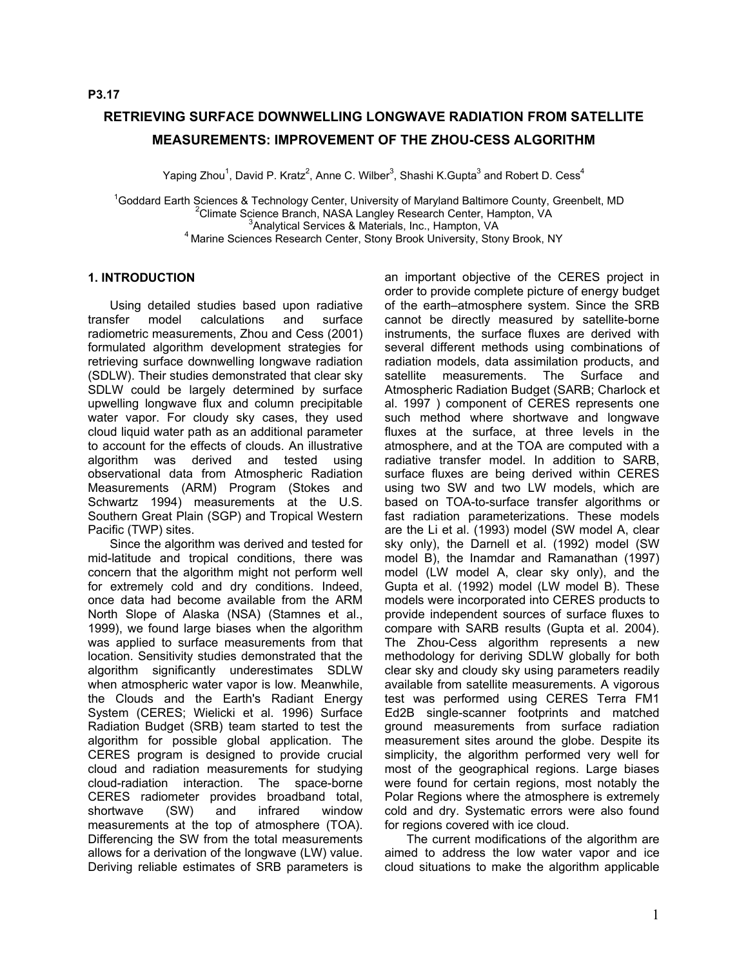# **RETRIEVING SURFACE DOWNWELLING LONGWAVE RADIATION FROM SATELLITE MEASUREMENTS: IMPROVEMENT OF THE ZHOU-CESS ALGORITHM**

Yaping Zhou<sup>1</sup>, David P. Kratz<sup>2</sup>, Anne C. Wilber<sup>3</sup>, Shashi K.Gupta<sup>3</sup> and Robert D. Cess<sup>4</sup>

<sup>1</sup>Goddard Earth Sciences & Technology Center, University of Maryland Baltimore County, Greenbelt, MD<br><sup>2</sup>Climate Science Pranch NASA Langley Research Center, Hampton VA Climate Science Branch, NASA Langley Research Center, Hampton, VA<sup>3</sup>Analytical Services & Materials, Inc., Hampton, VA <sup>4</sup> Marine Sciences Research Center, Stony Brook University, Stony Brook, NY

# **1. INTRODUCTION**

Using detailed studies based upon radiative transfer model calculations and surface radiometric measurements, Zhou and Cess (2001) formulated algorithm development strategies for retrieving surface downwelling longwave radiation (SDLW). Their studies demonstrated that clear sky SDLW could be largely determined by surface upwelling longwave flux and column precipitable water vapor. For cloudy sky cases, they used cloud liquid water path as an additional parameter to account for the effects of clouds. An illustrative algorithm was derived and tested using observational data from Atmospheric Radiation Measurements (ARM) Program (Stokes and Schwartz 1994) measurements at the U.S. Southern Great Plain (SGP) and Tropical Western Pacific (TWP) sites.

Since the algorithm was derived and tested for mid-latitude and tropical conditions, there was concern that the algorithm might not perform well for extremely cold and dry conditions. Indeed, once data had become available from the ARM North Slope of Alaska (NSA) (Stamnes et al., 1999), we found large biases when the algorithm was applied to surface measurements from that location. Sensitivity studies demonstrated that the algorithm significantly underestimates SDLW when atmospheric water vapor is low. Meanwhile, the Clouds and the Earth's Radiant Energy System (CERES; Wielicki et al. 1996) Surface Radiation Budget (SRB) team started to test the algorithm for possible global application. The CERES program is designed to provide crucial cloud and radiation measurements for studying cloud-radiation interaction. The space-borne CERES radiometer provides broadband total, shortwave (SW) and infrared window measurements at the top of atmosphere (TOA). Differencing the SW from the total measurements allows for a derivation of the longwave (LW) value. Deriving reliable estimates of SRB parameters is

an important objective of the CERES project in order to provide complete picture of energy budget of the earth–atmosphere system. Since the SRB cannot be directly measured by satellite-borne instruments, the surface fluxes are derived with several different methods using combinations of radiation models, data assimilation products, and satellite measurements. The Surface and Atmospheric Radiation Budget (SARB; Charlock et al. 1997 ) component of CERES represents one such method where shortwave and longwave fluxes at the surface, at three levels in the atmosphere, and at the TOA are computed with a radiative transfer model. In addition to SARB, surface fluxes are being derived within CERES using two SW and two LW models, which are based on TOA-to-surface transfer algorithms or fast radiation parameterizations. These models are the Li et al. (1993) model (SW model A, clear sky only), the Darnell et al. (1992) model (SW model B), the Inamdar and Ramanathan (1997) model (LW model A, clear sky only), and the Gupta et al. (1992) model (LW model B). These models were incorporated into CERES products to provide independent sources of surface fluxes to compare with SARB results (Gupta et al. 2004). The Zhou-Cess algorithm represents a new methodology for deriving SDLW globally for both clear sky and cloudy sky using parameters readily available from satellite measurements. A vigorous test was performed using CERES Terra FM1 Ed2B single-scanner footprints and matched ground measurements from surface radiation measurement sites around the globe. Despite its simplicity, the algorithm performed very well for most of the geographical regions. Large biases were found for certain regions, most notably the Polar Regions where the atmosphere is extremely cold and dry. Systematic errors were also found for regions covered with ice cloud.

The current modifications of the algorithm are aimed to address the low water vapor and ice cloud situations to make the algorithm applicable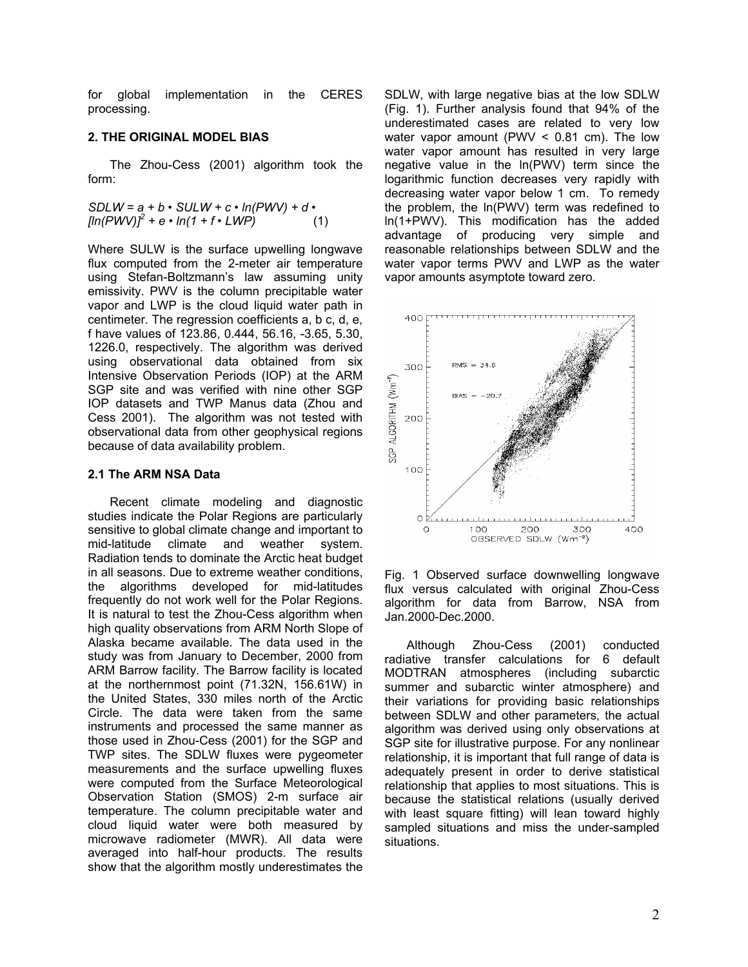for global implementation in the CERES processing.

## **2. THE ORIGINAL MODEL BIAS**

The Zhou-Cess (2001) algorithm took the form:

$$
SDLW = a + b \cdot SLLW + c \cdot ln(PWV) + d \cdot
$$
  
[ln(PWV)]<sup>2</sup> + e \cdot ln(1 + f \cdot LWP) (1)

Where SULW is the surface upwelling longwave flux computed from the 2-meter air temperature using Stefan-Boltzmann's law assuming unity emissivity. PWV is the column precipitable water vapor and LWP is the cloud liquid water path in centimeter. The regression coefficients a, b c, d, e, f have values of 123.86, 0.444, 56.16, -3.65, 5.30, 1226.0, respectively. The algorithm was derived using observational data obtained from six Intensive Observation Periods (IOP) at the ARM SGP site and was verified with nine other SGP IOP datasets and TWP Manus data (Zhou and Cess 2001). The algorithm was not tested with observational data from other geophysical regions because of data availability problem.

## **2.1 The ARM NSA Data**

Recent climate modeling and diagnostic studies indicate the Polar Regions are particularly sensitive to global climate change and important to mid-latitude climate and weather system. Radiation tends to dominate the Arctic heat budget in all seasons. Due to extreme weather conditions, the algorithms developed for mid-latitudes frequently do not work well for the Polar Regions. It is natural to test the Zhou-Cess algorithm when high quality observations from ARM North Slope of Alaska became available. The data used in the study was from January to December, 2000 from ARM Barrow facility. The Barrow facility is located at the northernmost point (71.32N, 156.61W) in the United States, 330 miles north of the Arctic Circle. The data were taken from the same instruments and processed the same manner as those used in Zhou-Cess (2001) for the SGP and TWP sites. The SDLW fluxes were pygeometer measurements and the surface upwelling fluxes were computed from the Surface Meteorological Observation Station (SMOS) 2-m surface air temperature. The column precipitable water and cloud liquid water were both measured by microwave radiometer (MWR). All data were averaged into half-hour products. The results show that the algorithm mostly underestimates the

SDLW, with large negative bias at the low SDLW (Fig. 1). Further analysis found that 94% of the underestimated cases are related to very low water vapor amount (PWV  $\leq$  0.81 cm). The low water vapor amount has resulted in very large negative value in the ln(PWV) term since the logarithmic function decreases very rapidly with decreasing water vapor below 1 cm. To remedy the problem, the ln(PWV) term was redefined to ln(1+PWV). This modification has the added advantage of producing very simple and reasonable relationships between SDLW and the water vapor terms PWV and LWP as the water vapor amounts asymptote toward zero.



Fig. 1 Observed surface downwelling longwave flux versus calculated with original Zhou-Cess algorithm for data from Barrow, NSA from Jan.2000-Dec.2000.

Although Zhou-Cess (2001) conducted radiative transfer calculations for 6 default MODTRAN atmospheres (including subarctic summer and subarctic winter atmosphere) and their variations for providing basic relationships between SDLW and other parameters, the actual algorithm was derived using only observations at SGP site for illustrative purpose. For any nonlinear relationship, it is important that full range of data is adequately present in order to derive statistical relationship that applies to most situations. This is because the statistical relations (usually derived with least square fitting) will lean toward highly sampled situations and miss the under-sampled situations.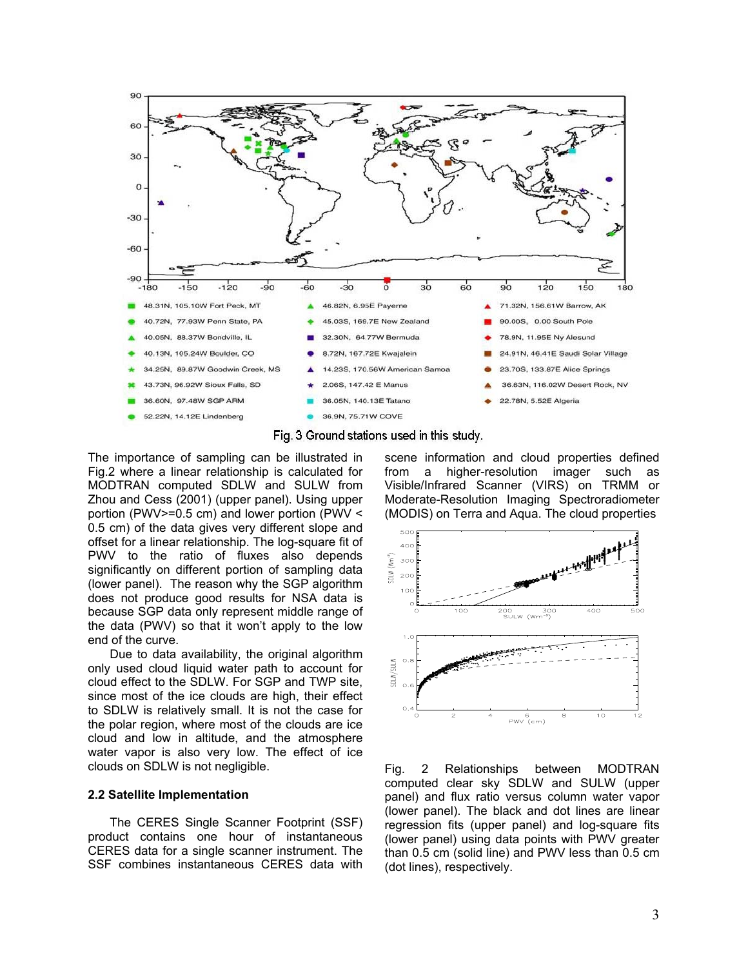



The importance of sampling can be illustrated in Fig.2 where a linear relationship is calculated for MODTRAN computed SDLW and SULW from Zhou and Cess (2001) (upper panel). Using upper portion (PWV>=0.5 cm) and lower portion (PWV < 0.5 cm) of the data gives very different slope and offset for a linear relationship. The log-square fit of PWV to the ratio of fluxes also depends significantly on different portion of sampling data (lower panel). The reason why the SGP algorithm does not produce good results for NSA data is because SGP data only represent middle range of the data (PWV) so that it won't apply to the low end of the curve.

Due to data availability, the original algorithm only used cloud liquid water path to account for cloud effect to the SDLW. For SGP and TWP site, since most of the ice clouds are high, their effect to SDLW is relatively small. It is not the case for the polar region, where most of the clouds are ice cloud and low in altitude, and the atmosphere water vapor is also very low. The effect of ice clouds on SDLW is not negligible.

#### **2.2 Satellite Implementation**

The CERES Single Scanner Footprint (SSF) product contains one hour of instantaneous CERES data for a single scanner instrument. The SSF combines instantaneous CERES data with

scene information and cloud properties defined from a higher-resolution imager such as Visible/Infrared Scanner (VIRS) on TRMM or Moderate-Resolution Imaging Spectroradiometer (MODIS) on Terra and Aqua. The cloud properties



Fig. 2 Relationships between MODTRAN computed clear sky SDLW and SULW (upper panel) and flux ratio versus column water vapor (lower panel). The black and dot lines are linear regression fits (upper panel) and log-square fits (lower panel) using data points with PWV greater than 0.5 cm (solid line) and PWV less than 0.5 cm (dot lines), respectively.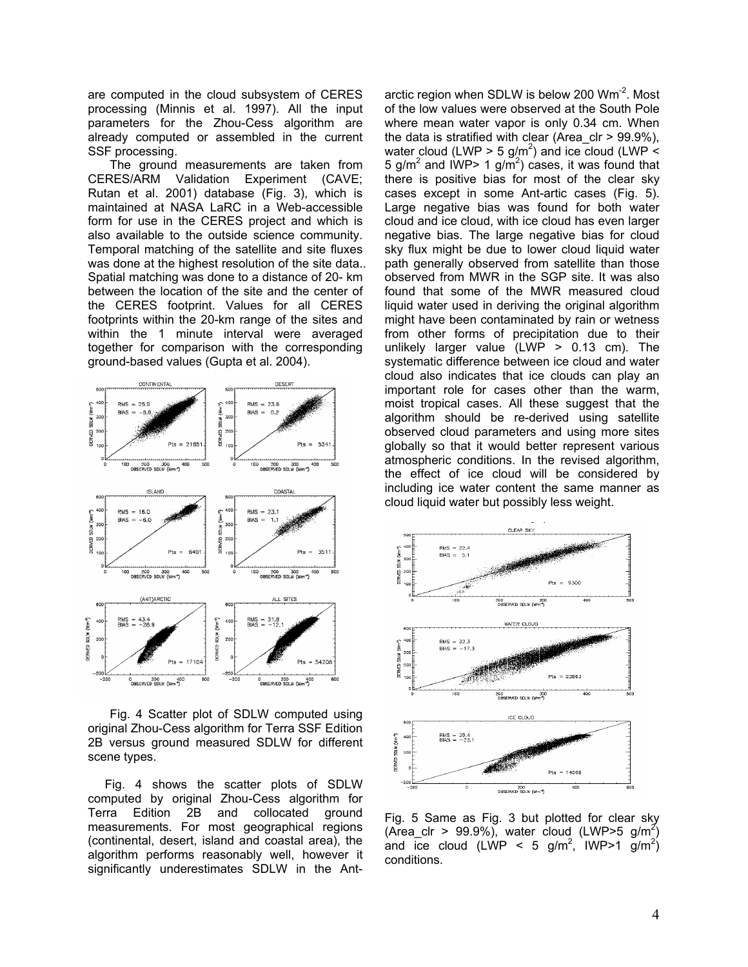are computed in the cloud subsystem of CERES processing (Minnis et al. 1997). All the input parameters for the Zhou-Cess algorithm are already computed or assembled in the current SSF processing.

The ground measurements are taken from CERES/ARM Validation Experiment (CAVE; Rutan et al. 2001) database (Fig. 3), which is maintained at NASA LaRC in a Web-accessible form for use in the CERES project and which is also available to the outside science community. Temporal matching of the satellite and site fluxes was done at the highest resolution of the site data.. Spatial matching was done to a distance of 20- km between the location of the site and the center of the CERES footprint. Values for all CERES footprints within the 20-km range of the sites and within the 1 minute interval were averaged together for comparison with the corresponding ground-based values (Gupta et al. 2004).



Fig. 4 Scatter plot of SDLW computed using original Zhou-Cess algorithm for Terra SSF Edition 2B versus ground measured SDLW for different scene types.

 Fig. 4 shows the scatter plots of SDLW computed by original Zhou-Cess algorithm for Terra Edition 2B and collocated ground measurements. For most geographical regions (continental, desert, island and coastal area), the algorithm performs reasonably well, however it significantly underestimates SDLW in the Antarctic region when SDLW is below 200  $Wm<sup>-2</sup>$ . Most of the low values were observed at the South Pole where mean water vapor is only 0.34 cm. When the data is stratified with clear (Area  $\text{clr} > 99.9\%$ ), water cloud (LWP > 5 g/m<sup>2</sup>) and ice cloud (LWP < 5 g/m<sup>2</sup> and IWP> 1 g/m<sup>2</sup>) cases, it was found that there is positive bias for most of the clear sky cases except in some Ant-artic cases (Fig. 5). Large negative bias was found for both water cloud and ice cloud, with ice cloud has even larger negative bias. The large negative bias for cloud sky flux might be due to lower cloud liquid water path generally observed from satellite than those observed from MWR in the SGP site. It was also found that some of the MWR measured cloud liquid water used in deriving the original algorithm might have been contaminated by rain or wetness from other forms of precipitation due to their unlikely larger value (LWP  $> 0.13$  cm). The systematic difference between ice cloud and water cloud also indicates that ice clouds can play an important role for cases other than the warm, moist tropical cases. All these suggest that the algorithm should be re-derived using satellite observed cloud parameters and using more sites globally so that it would better represent various atmospheric conditions. In the revised algorithm, the effect of ice cloud will be considered by including ice water content the same manner as cloud liquid water but possibly less weight.



Fig. 5 Same as Fig. 3 but plotted for clear sky (Area\_clr > 99.9%), water cloud (LWP>5 g/m<sup>2</sup>) and ice cloud (LWP < 5 g/m<sup>2</sup>, IWP>1 g/m<sup>2</sup>) conditions.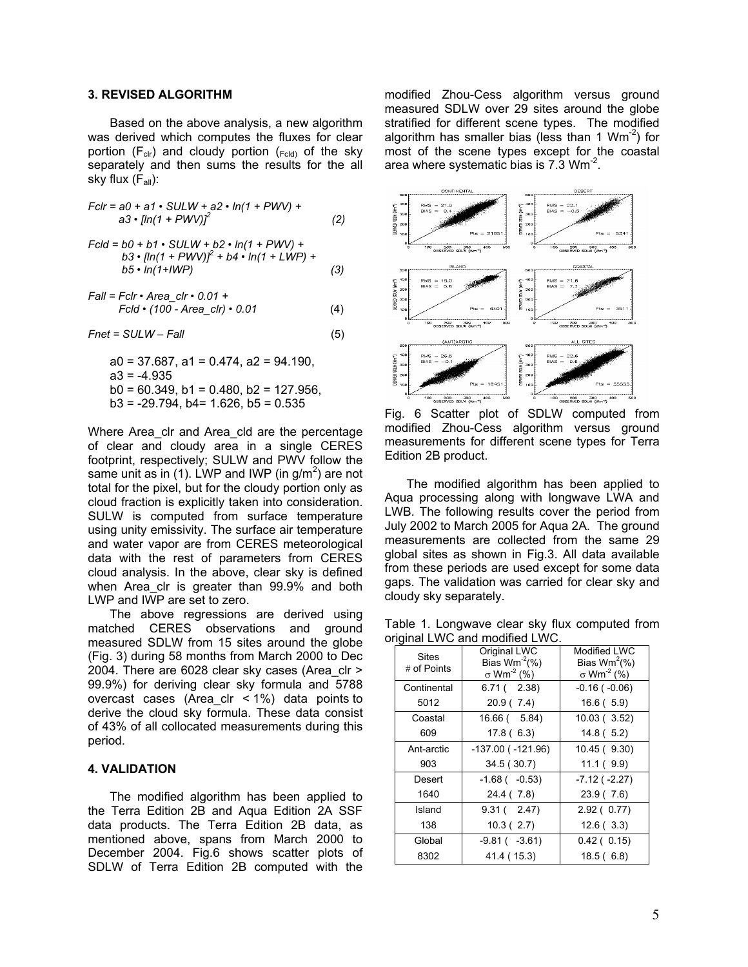## **3. REVISED ALGORITHM**

Based on the above analysis, a new algorithm was derived which computes the fluxes for clear portion ( $F_{\text{clr}}$ ) and cloudy portion ( $_{\text{Fcd}}$ ) of the sky separately and then sums the results for the all sky flux  $(F_{all})$ :

$$
Fclr = a0 + a1 \cdot SULW + a2 \cdot ln(1 + PWV) + a3 \cdot [ln(1 + PWV)]^{2}
$$
 (2)

$$
Fcld = b0 + b1 \cdot SULW + b2 \cdot ln(1 + PWV) +b3 \cdot [ln(1 + PWV)]^{2} + b4 \cdot ln(1 + LWP) +b5 \cdot ln(1 + lWP)
$$
\n(3)

$$
Fall = Fclr \cdot Area\_clr \cdot 0.01 +
$$
  

$$
Fcld \cdot (100 - Area\_clr) \cdot 0.01
$$
 (4)

$$
Fnet = SULW - Fall
$$
\n<sup>(5)</sup>

 $a0 = 37.687$ ,  $a1 = 0.474$ ,  $a2 = 94.190$ ,  $a3 = -4.935$  $b0 = 60.349$ ,  $b1 = 0.480$ ,  $b2 = 127.956$ ,  $b3 = -29.794$ ,  $b4 = 1.626$ ,  $b5 = 0.535$ 

Where Area clr and Area cld are the percentage of clear and cloudy area in a single CERES footprint, respectively; SULW and PWV follow the same unit as in (1). LWP and IWP (in  $g/m^2$ ) are not total for the pixel, but for the cloudy portion only as cloud fraction is explicitly taken into consideration. SULW is computed from surface temperature using unity emissivity. The surface air temperature and water vapor are from CERES meteorological data with the rest of parameters from CERES cloud analysis. In the above, clear sky is defined when Area clr is greater than 99.9% and both LWP and IWP are set to zero.

The above regressions are derived using matched CERES observations and ground measured SDLW from 15 sites around the globe (Fig. 3) during 58 months from March 2000 to Dec 2004. There are 6028 clear sky cases (Area\_clr > 99.9%) for deriving clear sky formula and 5788 overcast cases (Area clr  $\lt$  1%) data points to derive the cloud sky formula. These data consist of 43% of all collocated measurements during this period.

#### **4. VALIDATION**

The modified algorithm has been applied to the Terra Edition 2B and Aqua Edition 2A SSF data products. The Terra Edition 2B data, as mentioned above, spans from March 2000 to December 2004. Fig.6 shows scatter plots of SDLW of Terra Edition 2B computed with the modified Zhou-Cess algorithm versus ground measured SDLW over 29 sites around the globe stratified for different scene types. The modified algorithm has smaller bias (less than 1  $Wm^{-2}$ ) for most of the scene types except for the coastal area where systematic bias is 7.3 Wm<sup>-2</sup>.



Fig. 6 Scatter plot of SDLW computed from modified Zhou-Cess algorithm versus ground measurements for different scene types for Terra Edition 2B product.

The modified algorithm has been applied to Aqua processing along with longwave LWA and LWB. The following results cover the period from July 2002 to March 2005 for Aqua 2A. The ground measurements are collected from the same 29 global sites as shown in Fig.3. All data available from these periods are used except for some data gaps. The validation was carried for clear sky and cloudy sky separately.

Table 1. Longwave clear sky flux computed from original LWC and modified LWC.

| <b>Sites</b><br># of Points | Original LWC<br>Bias $Wm^{-2}$ (%)<br>$\sigma$ Wm <sup>-2</sup> (%) | Modified LWC<br>Bias $Wm^2(\%)$<br>$\sigma$ Wm <sup>-2</sup> (%) |
|-----------------------------|---------------------------------------------------------------------|------------------------------------------------------------------|
| Continental                 | 6.71(2.38)                                                          | $-0.16$ ( $-0.06$ )                                              |
| 5012                        | 20.9(7.4)                                                           | 16.6(5.9)                                                        |
| Coastal                     | 16.66 ( 5.84)                                                       | 10.03 (3.52)                                                     |
| 609                         | 17.8(6.3)                                                           | 14.8(5.2)                                                        |
| Ant-arctic                  | $-137.00$ ( $-121.96$ )                                             | 10.45(9.30)                                                      |
| 903                         | 34.5 (30.7)                                                         | 11.1(9.9)                                                        |
| Desert                      | $-1.68$ ( $-0.53$ )                                                 | $-7.12$ ( $-2.27$ )                                              |
| 1640                        | 24.4 (7.8)                                                          | 23.9(7.6)                                                        |
| Island                      | 9.31(2.47)                                                          | 2.92(0.77)                                                       |
| 138                         | 10.3(2.7)                                                           | 12.6(3.3)                                                        |
| Global                      | $-9.81(-3.61)$                                                      | 0.42(0.15)                                                       |
| 8302                        | 41.4 (15.3)                                                         | 18.5(6.8)                                                        |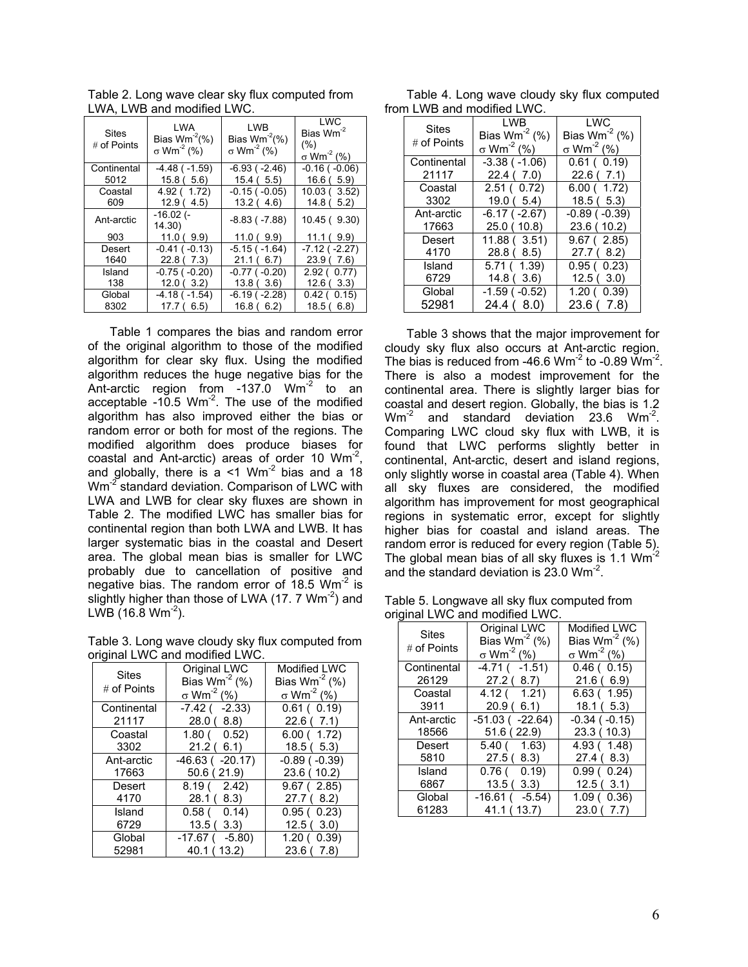| <b>Sites</b><br># of Points | LWA<br>Bias $Wm^2(\%)$<br>$\sigma$ Wm <sup>-2</sup> (%) | LWB<br>Bias $Wm^2(\%)$<br>$\sigma$ Wm <sup>-2</sup> (%) | <b>LWC</b><br>Bias Wm <sup>-2</sup><br>(% )<br>$\sigma$ Wm <sup>-2</sup> (%) |
|-----------------------------|---------------------------------------------------------|---------------------------------------------------------|------------------------------------------------------------------------------|
| Continental                 | $-4.48$ ( $-1.59$ )                                     | $-6.93$ ( $-2.46$ )                                     | $-0.16$ ( $-0.06$ )                                                          |
| 5012                        | 15.8(5.6)                                               | 15.4(5.5)                                               | 16.6(5.9)                                                                    |
| Coastal                     | 4.92 (1.72)                                             | $-0.15$ ( $-0.05$ )                                     | 10.03(3.52)                                                                  |
| 609                         | 12.9(4.5)                                               | 13.2(4.6)                                               | 14.8(5.2)                                                                    |
| Ant-arctic                  | -16.02 (-<br>(14.30)                                    | $-8.83$ ( $-7.88$ )                                     | 10.45(9.30)                                                                  |
| 903                         | 11.0(9.9)                                               | 11.0(9.9)                                               | 11.1(9.9)                                                                    |
| Desert                      | $-0.41$ ( $-0.13$ )                                     | $-5.15$ ( $-1.64$ )                                     | $-7.12$ ( $-2.27$ )                                                          |
| 1640                        | 22.8(7.3)                                               | 21.1(6.7)                                               | 23.9(7.6)                                                                    |
| Island                      | $-0.75$ ( $-0.20$ )                                     | $-0.77$ ( $-0.20$ )                                     | 2.92(0.77)                                                                   |
| 138                         | 12.0(3.2)                                               | 13.8(3.6)                                               | 12.6(3.3)                                                                    |
| Global                      | $-4.18$ ( $-1.54$ )                                     | $-6.19$ ( $-2.28$ )                                     | 0.42(0.15)                                                                   |
| 8302                        | 17.7(6.5)                                               | 16.8(6.2)                                               | 18.5(6.8)                                                                    |

Table 2. Long wave clear sky flux computed from LWA, LWB and modified LWC.

Table 1 compares the bias and random error of the original algorithm to those of the modified algorithm for clear sky flux. Using the modified algorithm reduces the huge negative bias for the Ant-arctic region from  $-137.0$  Wm<sup>-2</sup> to an acceptable  $-10.5$  Wm<sup>-2</sup>. The use of the modified algorithm has also improved either the bias or random error or both for most of the regions. The modified algorithm does produce biases for coastal and Ant-arctic) areas of order 10 Wm-2, and globally, there is  $a < 1$  Wm<sup>-2</sup> bias and a 18 Wm<sup>-2</sup> standard deviation. Comparison of LWC with LWA and LWB for clear sky fluxes are shown in Table 2. The modified LWC has smaller bias for continental region than both LWA and LWB. It has larger systematic bias in the coastal and Desert area. The global mean bias is smaller for LWC probably due to cancellation of positive and negative bias. The random error of  $18.5$  Wm<sup>-2</sup> is slightly higher than those of LWA  $(17.7 \text{ Wm}^2)$  and LWB (16.8  $Wm^{-2}$ ).

Table 3. Long wave cloudy sky flux computed from original LWC and modified LWC.

| UNGINI LIYU ANG MUGULIGI LIYU. |                                                                     |                                                                     |  |
|--------------------------------|---------------------------------------------------------------------|---------------------------------------------------------------------|--|
| <b>Sites</b><br># of Points    | Original LWC<br>Bias $Wm^{-2}$ (%)<br>$\sigma$ Wm <sup>-2</sup> (%) | Modified LWC<br>Bias $Wm^{-2}$ (%)<br>$\sigma$ Wm <sup>-2</sup> (%) |  |
| Continental                    | $-7.42$ ( $-2.33$ )                                                 | 0.61(0.19)                                                          |  |
| 21117                          | 28.0(8.8)                                                           | 22.6(7.1)                                                           |  |
| Coastal                        | 1.80(0.52)                                                          | 6.00(1.72)                                                          |  |
| 3302                           | 21.2(6.1)                                                           | 18.5(5.3)                                                           |  |
| Ant-arctic                     | $-46.63$ ( $-20.17$ )                                               | $-0.89$ ( $-0.39$ )                                                 |  |
| 17663                          | 50.6(21.9)                                                          | 23.6 (10.2)                                                         |  |
| <b>Desert</b>                  | 8.19(2.42)                                                          | 9.67(2.85)                                                          |  |
| 4170                           | 28.1(8.3)                                                           | 27.7(8.2)                                                           |  |
| Island<br>6729                 | 0.58(0.14)<br>13.5 (<br>3.3)                                        | 0.95(0.23)<br>12.5(3.0)                                             |  |
| Global                         | $-17.67$ ( $-5.80$ )                                                | 1.20(0.39)                                                          |  |
| 52981                          | 40.1 (13.2)                                                         | 23.6(7.8)                                                           |  |

Table 4. Long wave cloudy sky flux computed from LWB and modified LWC.

| <b>Sites</b> | LWB.                          | LWC                           |
|--------------|-------------------------------|-------------------------------|
| # of Points  | Bias $Wm^{-2}$ (%)            | Bias $Wm^{-2}$ (%)            |
|              | $\sigma$ Wm <sup>-2</sup> (%) | $\sigma$ Wm <sup>-2</sup> (%) |
| Continental  | $-3.38$ ( $-1.06$ )           | 0.61(0.19)                    |
| 21117        | 22.4(7.0)                     | 22.6(7.1)                     |
| Coastal      | 2.51(0.72)                    | 6.00(1.72)                    |
| 3302         | 19.0(5.4)                     | 18.5(5.3)                     |
| Ant-arctic   | $-6.17$ ( $-2.67$ )           | $-0.89$ ( $-0.39$ )           |
| 17663        | 25.0 (10.8)                   | 23.6(10.2)                    |
| Desert       | 11.88(3.51)                   | 9.67(2.85)                    |
| 4170         | 28.8(8.5)                     | 27.7(8.2)                     |
| Island       | 5.71 ( 1.39)                  | 0.95(0.23)                    |
| 6729         | 14.8(3.6)                     | 12.5(3.0)                     |
| Global       | $-1.59$ ( $-0.52$ )           | 1.20(0.39)                    |
| 52981        | 24.4(8.0)                     | 23.6 (7.8)                    |

Table 3 shows that the major improvement for cloudy sky flux also occurs at Ant-arctic region. The bias is reduced from -46.6 Wm<sup>-2</sup> to -0.89  $\text{Wm}^{-2}$ . There is also a modest improvement for the continental area. There is slightly larger bias for coastal and desert region. Globally, the bias is 1.2  $Wm<sup>-2</sup>$  and standard deviation 23.6  $Wm<sup>-2</sup>$ . Comparing LWC cloud sky flux with LWB, it is found that LWC performs slightly better in continental, Ant-arctic, desert and island regions, only slightly worse in coastal area (Table 4). When all sky fluxes are considered, the modified algorithm has improvement for most geographical regions in systematic error, except for slightly higher bias for coastal and island areas. The random error is reduced for every region (Table 5). The global mean bias of all sky fluxes is  $1.1$  Wm<sup>-2</sup> and the standard deviation is 23.0 Wm<sup>-2</sup>.

Table 5. Longwave all sky flux computed from original LWC and modified LWC.

| $n$ gnar Lyv $\circ$ and modified Lyv $\circ$ . |                                                                     |                                                                     |  |
|-------------------------------------------------|---------------------------------------------------------------------|---------------------------------------------------------------------|--|
| <b>Sites</b><br>$#$ of Points                   | Original LWC<br>Bias $Wm^{-2}$ (%)<br>$\sigma$ Wm <sup>-2</sup> (%) | Modified LWC<br>Bias $Wm^{-2}$ (%)<br>$\sigma$ Wm <sup>-2</sup> (%) |  |
|                                                 |                                                                     |                                                                     |  |
| Continental                                     | $-4.71( -1.51)$                                                     | 0.46(0.15)                                                          |  |
| 26129                                           | 27.2(8.7)                                                           | 21.6(6.9)                                                           |  |
| Coastal                                         | 4.12(1.21)                                                          | 6.63(1.95)                                                          |  |
| 3911                                            | 20.9(6.1)                                                           | 18.1(5.3)                                                           |  |
| Ant-arctic                                      | $-51.03$ ( $-22.64$ )                                               | $-0.34$ ( $-0.15$ )                                                 |  |
| 18566                                           | 51.6(22.9)                                                          | 23.3(10.3)                                                          |  |
| Desert                                          | 5.40 ( 1.63)                                                        | 4.93 (1.48)                                                         |  |
| 5810                                            | 27.5(8.3)                                                           | 27.4 ( 8.3)                                                         |  |
| Island                                          | 0.76(0.19)                                                          | 0.99(0.24)                                                          |  |
| 6867                                            | 13.5(3.3)                                                           | 12.5(3.1)                                                           |  |
| Global                                          | $-16.61$ ( $-5.54$ )                                                | 1.09(0.36)                                                          |  |
| 61283                                           | 41.1 (13.7)                                                         | 23.0 ( 7.7)                                                         |  |